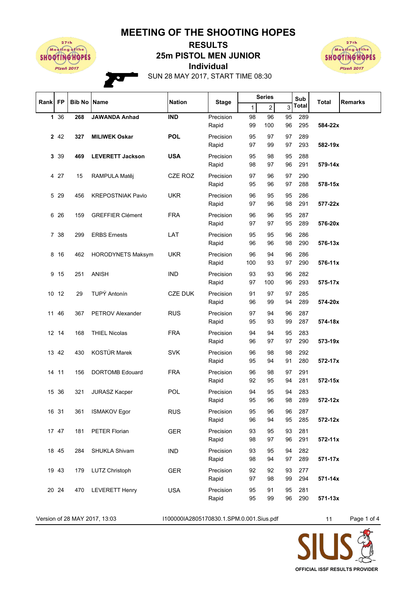## **MEETING OF THE SHOOTING HOPES**



## **Individual 25m PISTOL MEN JUNIOR RESULTS**



SUN 28 MAY 2017, START TIME 08:30

| Rank FP |       |     | <b>Bib No Name</b>       | <b>Nation</b>  | <b>Stage</b>       |                                     | <b>Series</b> |          | Sub        | Total       | <b>Remarks</b> |
|---------|-------|-----|--------------------------|----------------|--------------------|-------------------------------------|---------------|----------|------------|-------------|----------------|
|         |       |     |                          |                |                    | $\overline{2}$<br>3<br>$\mathbf{1}$ | Total         |          |            |             |                |
|         | 1 36  | 268 | <b>JAWANDA Anhad</b>     | <b>IND</b>     | Precision          | 98                                  | 96            | 95       | 289        |             |                |
|         |       |     |                          |                | Rapid              | 99                                  | 100           | 96       | 295        | 584-22x     |                |
|         | 2 4 2 | 327 | <b>MILIWEK Oskar</b>     | <b>POL</b>     | Precision          | 95                                  | 97            | 97       | 289        |             |                |
|         |       |     |                          |                | Rapid              | 97                                  | 99            | 97       | 293        | 582-19x     |                |
|         | 3 3 9 | 469 | <b>LEVERETT Jackson</b>  | <b>USA</b>     | Precision          | 95                                  | 98            | 95       | 288        |             |                |
|         |       |     |                          |                | Rapid              | 98                                  | 97            | 96       | 291        | 579-14x     |                |
|         | 4 27  | 15  | RAMPULA Matěj            | CZE ROZ        | Precision          | 97                                  | 96            | 97       | 290        |             |                |
|         |       |     |                          |                | Rapid              | 95                                  | 96            | 97       | 288        | 578-15x     |                |
|         | 5 29  | 456 | <b>KREPOSTNIAK Pavlo</b> | <b>UKR</b>     | Precision          | 96                                  | 95            | 95       | 286        |             |                |
|         |       |     |                          |                | Rapid              | 97                                  | 96            | 98       | 291        | 577-22x     |                |
| 6       | 26    | 159 | <b>GREFFIER Clément</b>  | <b>FRA</b>     | Precision          | 96                                  | 96            | 95       | 287        |             |                |
|         |       |     |                          |                | Rapid              | 97                                  | 97            | 95       | 289        | 576-20x     |                |
| 7       | 38    | 299 | <b>ERBS Ernests</b>      | LAT            | Precision          | 95                                  | 95            | 96       | 286        |             |                |
|         |       |     |                          |                | Rapid              | 96                                  | 96            | 98       | 290        | 576-13x     |                |
|         |       |     |                          |                |                    |                                     |               |          |            |             |                |
| 8       | 16    | 462 | <b>HORODYNETS Maksym</b> | <b>UKR</b>     | Precision<br>Rapid | 96<br>100                           | 94<br>93      | 96<br>97 | 286<br>290 | 576-11x     |                |
|         |       |     |                          |                |                    |                                     |               |          |            |             |                |
| 9       | 15    | 251 | <b>ANISH</b>             | <b>IND</b>     | Precision<br>Rapid | 93<br>97                            | 93<br>100     | 96<br>96 | 282<br>293 | 575-17x     |                |
|         |       |     |                          |                |                    |                                     |               |          |            |             |                |
|         | 10 12 | 29  | TUPÝ Antonín             | <b>CZE DUK</b> | Precision          | 91                                  | 97            | 97       | 285<br>289 |             |                |
|         |       |     |                          |                | Rapid              | 96                                  | 99            | 94       |            | 574-20x     |                |
|         | 11 46 | 367 | PETROV Alexander         | <b>RUS</b>     | Precision          | 97                                  | 94            | 96       | 287        |             |                |
|         |       |     |                          |                | Rapid              | 95                                  | 93            | 99       | 287        | 574-18x     |                |
|         | 12 14 | 168 | <b>THIEL Nicolas</b>     | <b>FRA</b>     | Precision          | 94                                  | 94            | 95       | 283        |             |                |
|         |       |     |                          |                | Rapid              | 96                                  | 97            | 97       | 290        | 573-19x     |                |
| 13      | 42    | 430 | KOSTÚR Marek             | <b>SVK</b>     | Precision          | 96                                  | 98            | 98       | 292        |             |                |
|         |       |     |                          |                | Rapid              | 95                                  | 94            | 91       | 280        | 572-17x     |                |
|         | 14 11 | 156 | <b>DORTOMB Edouard</b>   | <b>FRA</b>     | Precision          | 96                                  | 98            | 97       | 291        |             |                |
|         |       |     |                          |                | Rapid              | 92                                  | 95            | 94       | 281        | 572-15x     |                |
|         | 15 36 | 321 | <b>JURASZ Kacper</b>     | POL            | Precision          | 94                                  | 95            | 94       | 283        |             |                |
|         |       |     |                          |                | Rapid              | 95                                  | 96            | 98       | 289        | 572-12x     |                |
|         | 16 31 | 361 | <b>ISMAKOV Egor</b>      | <b>RUS</b>     | Precision          | 95                                  | 96            | 96       | 287        |             |                |
|         |       |     |                          |                | Rapid              | 96                                  | 94            | 95       | 285        | 572-12x     |                |
|         | 17 47 | 181 | <b>PETER Florian</b>     | <b>GER</b>     | Precision          | 93                                  | 95            | 93       | 281        |             |                |
|         |       |     |                          |                | Rapid              | 98                                  | 97            | 96       | 291        | $572 - 11x$ |                |
|         | 18 45 | 284 | SHUKLA Shivam            | <b>IND</b>     | Precision          | 93                                  | 95            | 94       | 282        |             |                |
|         |       |     |                          |                | Rapid              | 98                                  | 94            | 97       | 289        | 571-17x     |                |
|         | 19 43 | 179 | LUTZ Christoph           | <b>GER</b>     | Precision          | 92                                  | 92            | 93       | 277        |             |                |
|         |       |     |                          |                | Rapid              | 97                                  | 98            | 99       | 294        | 571-14x     |                |
|         | 20 24 | 470 | <b>LEVERETT Henry</b>    | <b>USA</b>     | Precision          | 95                                  | 91            | 95       | 281        |             |                |
|         |       |     |                          |                | Rapid              | 95                                  | 99            | 96       | 290        | $571 - 13x$ |                |
|         |       |     |                          |                |                    |                                     |               |          |            |             |                |

Version of 28 MAY 2017, 13:03 1100000IA2805170830.1.SPM.0.001.Sius.pdf 11 Page 1 of 4

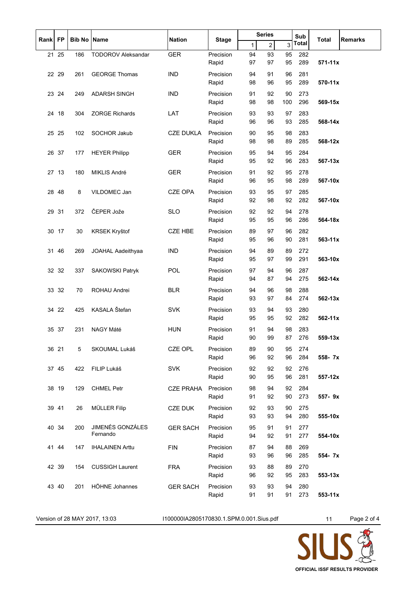| Rank |           | <b>Bib No Name</b> |                              | <b>Nation</b>    |                    | <b>Series</b> |                |           | Sub        |             |                |
|------|-----------|--------------------|------------------------------|------------------|--------------------|---------------|----------------|-----------|------------|-------------|----------------|
|      | <b>FP</b> |                    |                              |                  | <b>Stage</b>       | 1             | $\overline{2}$ | 3         | Total      | Total       | <b>Remarks</b> |
|      | 21 25     | 186                | <b>TODOROV Aleksandar</b>    | <b>GER</b>       | Precision          | 94            | 93             | 95        | 282        |             |                |
|      |           |                    |                              |                  | Rapid              | 97            | 97             | 95        | 289        | $571 - 11x$ |                |
|      | 22 29     | 261                | <b>GEORGE Thomas</b>         | <b>IND</b>       | Precision<br>Rapid | 94<br>98      | 91<br>96       | 96<br>95  | 281<br>289 | 570-11x     |                |
|      | 23 24     | 249                | <b>ADARSH SINGH</b>          | <b>IND</b>       | Precision<br>Rapid | 91<br>98      | 92<br>98       | 90<br>100 | 273<br>296 | 569-15x     |                |
|      | 24 18     | 304                | <b>ZORGE Richards</b>        | LAT              | Precision<br>Rapid | 93<br>96      | 93<br>96       | 97<br>93  | 283<br>285 | 568-14x     |                |
|      | 25 25     | 102                | SOCHOR Jakub                 | <b>CZE DUKLA</b> | Precision<br>Rapid | 90<br>98      | 95<br>98       | 98<br>89  | 283<br>285 | 568-12x     |                |
|      | 26 37     | 177                | <b>HEYER Philipp</b>         | <b>GER</b>       | Precision<br>Rapid | 95<br>95      | 94<br>92       | 95<br>96  | 284<br>283 | 567-13x     |                |
|      | 27 13     | 180                | MIKLIS André                 | <b>GER</b>       | Precision<br>Rapid | 91<br>96      | 92<br>95       | 95<br>98  | 278<br>289 | 567-10x     |                |
|      | 28 48     | 8                  | VILDOMEC Jan                 | <b>CZE OPA</b>   | Precision<br>Rapid | 93<br>92      | 95<br>98       | 97<br>92  | 285<br>282 | 567-10x     |                |
|      | 29 31     | 372                | ČEPER Jože                   | <b>SLO</b>       | Precision<br>Rapid | 92<br>95      | 92<br>95       | 94<br>96  | 278<br>286 | 564-18x     |                |
|      | 30 17     | 30                 | KRSEK Kryštof                | <b>CZE HBE</b>   | Precision<br>Rapid | 89<br>95      | 97<br>96       | 96<br>90  | 282<br>281 | 563-11x     |                |
| 31   | 46        | 269                | JOAHAL Aadeithyaa            | <b>IND</b>       | Precision<br>Rapid | 94<br>95      | 89<br>97       | 89<br>99  | 272<br>291 | 563-10x     |                |
|      | 32 32     | 337                | <b>SAKOWSKI Patryk</b>       | POL              | Precision<br>Rapid | 97<br>94      | 94<br>87       | 96<br>94  | 287<br>275 | 562-14x     |                |
|      | 33 32     | 70                 | ROHAU Andrei                 | <b>BLR</b>       | Precision<br>Rapid | 94<br>93      | 96<br>97       | 98<br>84  | 288<br>274 | 562-13x     |                |
|      | 34 22     | 425                | KASALA Štefan                | <b>SVK</b>       | Precision<br>Rapid | 93<br>95      | 94<br>95       | 93<br>92  | 280<br>282 | 562-11x     |                |
|      | 35 37     | 231                | NAGY Máté                    | <b>HUN</b>       | Precision<br>Rapid | 91<br>90      | 94<br>99       | 98<br>87  | 283<br>276 | 559-13x     |                |
|      | 36 21     | 5                  | SKOUMAL Lukáš                | CZE OPL          | Precision<br>Rapid | 89<br>96      | 90<br>92       | 95<br>96  | 274<br>284 | 558-7x      |                |
|      | 37 45     | 422                | FILIP Lukáš                  | <b>SVK</b>       | Precision<br>Rapid | 92<br>90      | 92<br>95       | 92<br>96  | 276<br>281 | 557-12x     |                |
|      | 38 19     | 129                | <b>CHMEL Petr</b>            | <b>CZE PRAHA</b> | Precision<br>Rapid | 98<br>91      | 94<br>92       | 92<br>90  | 284<br>273 | 557-9x      |                |
|      | 39 41     | 26                 | <b>MÜLLER Filip</b>          | CZE DUK          | Precision<br>Rapid | 92<br>93      | 93<br>93       | 90<br>94  | 275<br>280 | 555-10x     |                |
|      | 40 34     | 200                | JIMENÉS GONZÁLES<br>Fernando | <b>GER SACH</b>  | Precision<br>Rapid | 95<br>94      | 91<br>92       | 91<br>91  | 277<br>277 | 554-10x     |                |
|      | 41 44     | 147                | <b>IHALAINEN Arttu</b>       | <b>FIN</b>       | Precision<br>Rapid | 87<br>93      | 94<br>96       | 88<br>96  | 269<br>285 | 554-7x      |                |
|      | 42 39     | 154                | <b>CUSSIGH Laurent</b>       | <b>FRA</b>       | Precision<br>Rapid | 93<br>96      | 88<br>92       | 89<br>95  | 270<br>283 | $553 - 13x$ |                |
|      | 43 40     | 201                | HÖHNE Johannes               | <b>GER SACH</b>  | Precision<br>Rapid | 93<br>91      | 93<br>91       | 94<br>91  | 280<br>273 | 553-11x     |                |

Version of 28 MAY 2017, 13:03 I100000IA2805170830.1.SPM.0.001.Sius.pdf 11 Page 2 of 4

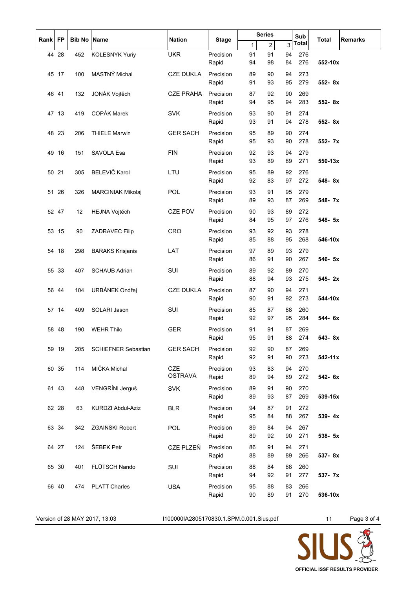| <b>FP</b><br>Rank |       | Bib No | <b>Name</b>                | <b>Nation</b>    |                    |              | <b>Series</b>  | Sub      | <b>Total</b> | <b>Remarks</b> |  |
|-------------------|-------|--------|----------------------------|------------------|--------------------|--------------|----------------|----------|--------------|----------------|--|
|                   |       |        |                            |                  | <b>Stage</b>       | $\mathbf{1}$ | $\overline{2}$ | 3        | <b>Total</b> |                |  |
|                   | 44 28 | 452    | <b>KOLESNYK Yuriy</b>      | <b>UKR</b>       | Precision          | 91           | 91             | 94       | 276          |                |  |
|                   |       |        |                            |                  | Rapid              | 94           | 98             | 84       | 276          | 552-10x        |  |
|                   | 45 17 | 100    | MASTNÝ Michal              | <b>CZE DUKLA</b> | Precision          | 89<br>91     | 90<br>93       | 94<br>95 | 273<br>279   | 552-8x         |  |
|                   |       |        |                            |                  | Rapid              |              |                |          |              |                |  |
|                   | 46 41 | 132    | JONÁK Vojtěch              | <b>CZE PRAHA</b> | Precision<br>Rapid | 87<br>94     | 92<br>95       | 90<br>94 | 269<br>283   | $552 - 8x$     |  |
|                   | 47 13 | 419    | <b>COPÁK Marek</b>         | <b>SVK</b>       | Precision          | 93           | 90             | 91       | 274          |                |  |
|                   |       |        |                            |                  | Rapid              | 93           | 91             | 94       | 278          | 552-8x         |  |
|                   | 48 23 | 206    | <b>THIELE Marwin</b>       | <b>GER SACH</b>  | Precision          | 95           | 89             | 90       | 274          |                |  |
|                   |       |        |                            |                  | Rapid              | 95           | 93             | 90       | 278          | 552- 7x        |  |
|                   | 49 16 | 151    | SAVOLA Esa                 | <b>FIN</b>       | Precision          | 92           | 93             | 94       | 279          |                |  |
|                   |       |        |                            |                  | Rapid              | 93           | 89             | 89       | 271          | $550 - 13x$    |  |
|                   | 50 21 | 305    | BELEVIČ Karol              | LTU              | Precision          | 95           | 89             | 92       | 276          |                |  |
|                   |       |        |                            |                  | Rapid              | 92           | 83             | 97       | 272          | 548-8x         |  |
| 51                | 26    | 326    | MARCINIAK Mikolaj          | <b>POL</b>       | Precision          | 93           | 91             | 95       | 279          |                |  |
|                   |       |        |                            |                  | Rapid              | 89           | 93             | 87       | 269          | 548-7x         |  |
|                   | 52 47 | 12     | HEJNA Vojtěch              | <b>CZE POV</b>   | Precision          | 90           | 93             | 89       | 272          |                |  |
|                   |       |        |                            |                  | Rapid              | 84           | 95             | 97       | 276          | 548- 5x        |  |
|                   | 53 15 | 90     | <b>ZADRAVEC Filip</b>      | CRO              | Precision          | 93           | 92             | 93       | 278          |                |  |
|                   |       |        |                            |                  | Rapid              | 85           | 88             | 95       | 268          | 546-10x        |  |
| 54                | 18    | 298    | <b>BARAKS Krisjanis</b>    | LAT              | Precision          | 97           | 89             | 93       | 279          |                |  |
|                   |       |        |                            |                  | Rapid              | 86           | 91             | 90       | 267          | 546- 5x        |  |
|                   | 55 33 | 407    | <b>SCHAUB Adrian</b>       | SUI              | Precision          | 89           | 92             | 89       | 270<br>275   | 545-2x         |  |
|                   |       |        |                            |                  | Rapid              | 88           | 94             | 93       |              |                |  |
|                   | 5644  | 104    | URBÁNEK Ondřej             | <b>CZE DUKLA</b> | Precision<br>Rapid | 87<br>90     | 90<br>91       | 94<br>92 | 271<br>273   | 544-10x        |  |
|                   |       |        |                            |                  |                    |              |                |          |              |                |  |
|                   | 57 14 | 409    | SOLARI Jason               | SUI              | Precision<br>Rapid | 85<br>92     | 87<br>97       | 88<br>95 | 260<br>284   | 544- 6x        |  |
| 58                | 48    | 190    | <b>WEHR Thilo</b>          | <b>GER</b>       | Precision          | 91           | 91             | 87       | 269          |                |  |
|                   |       |        |                            |                  | Rapid              | 95           | 91             | 88       | 274          | 543-8x         |  |
|                   | 59 19 | 205    | <b>SCHIEFNER Sebastian</b> | <b>GER SACH</b>  | Precision          | 92           | 90             | 87       | 269          |                |  |
|                   |       |        |                            |                  | Rapid              | 92           | 91             | 90       | 273          | 542-11x        |  |
|                   | 60 35 | 114    | MIČKA Michal               | <b>CZE</b>       | Precision          | 93           | 83             | 94       | 270          |                |  |
|                   |       |        |                            | <b>OSTRAVA</b>   | Rapid              | 89           | 94             | 89       | 272          | 542- 6x        |  |
|                   | 61 43 | 448    | VENGRÍNI Jerguš            | <b>SVK</b>       | Precision          | 89           | 91             | 90       | 270          |                |  |
|                   |       |        |                            |                  | Rapid              | 89           | 93             | 87       | 269          | 539-15x        |  |
|                   | 62 28 | 63     | KURDZI Abdul-Aziz          | <b>BLR</b>       | Precision          | 94           | 87             | 91       | 272          |                |  |
|                   |       |        |                            |                  | Rapid              | 95           | 84             | 88       | 267          | 539-4x         |  |
|                   | 63 34 | 342    | <b>ZGAINSKI Robert</b>     | POL              | Precision          | 89           | 84             | 94       | 267          |                |  |
|                   |       |        |                            |                  | Rapid              | 89           | 92             | 90       | 271          | 538- 5x        |  |
|                   | 64 27 | 124    | ŠEBEK Petr                 | CZE PLZEŇ        | Precision          | 86           | 91             | 94       | 271          |                |  |
|                   |       |        |                            |                  | Rapid              | 88           | 89             | 89       | 266          | 537-8x         |  |
|                   | 65 30 | 401    | FLÜTSCH Nando              | SUI              | Precision<br>Rapid | 88<br>94     | 84<br>92       | 88<br>91 | 260<br>277   | 537- 7x        |  |
|                   |       |        |                            |                  |                    |              |                |          |              |                |  |
|                   | 66 40 | 474    | <b>PLATT Charles</b>       | <b>USA</b>       | Precision<br>Rapid | 95<br>90     | 88<br>89       | 83<br>91 | 266<br>270   | 536-10x        |  |
|                   |       |        |                            |                  |                    |              |                |          |              |                |  |

Version of 28 MAY 2017, 13:03 I100000IA2805170830.1.SPM.0.001.Sius.pdf 11 Page 3 of 4